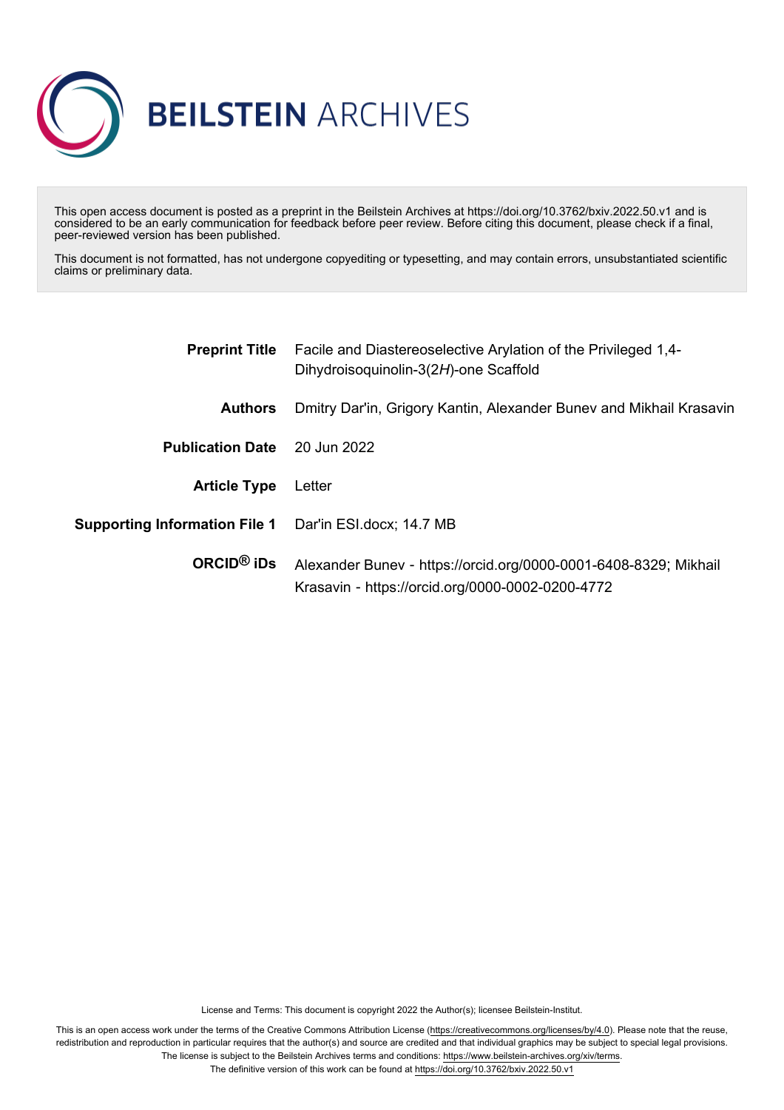

This open access document is posted as a preprint in the Beilstein Archives at https://doi.org/10.3762/bxiv.2022.50.v1 and is considered to be an early communication for feedback before peer review. Before citing this document, please check if a final, peer-reviewed version has been published.

This document is not formatted, has not undergone copyediting or typesetting, and may contain errors, unsubstantiated scientific claims or preliminary data.

|                                      | <b>Preprint Title</b> Facile and Diastereoselective Arylation of the Privileged 1,4-<br>Dihydroisoquinolin-3(2H)-one Scaffold<br>Dmitry Dar'in, Grigory Kantin, Alexander Bunev and Mikhail Krasavin |  |  |
|--------------------------------------|------------------------------------------------------------------------------------------------------------------------------------------------------------------------------------------------------|--|--|
| <b>Authors</b>                       |                                                                                                                                                                                                      |  |  |
| <b>Publication Date</b>              | 20 Jun 2022                                                                                                                                                                                          |  |  |
| <b>Article Type</b>                  | Letter                                                                                                                                                                                               |  |  |
| <b>Supporting Information File 1</b> | Dar'in ESI.docx; 14.7 MB                                                                                                                                                                             |  |  |
| ORCID <sup>®</sup> iDs               | Alexander Bunev - https://orcid.org/0000-0001-6408-8329; Mikhail<br>Krasavin - https://orcid.org/0000-0002-0200-4772                                                                                 |  |  |

License and Terms: This document is copyright 2022 the Author(s); licensee Beilstein-Institut.

This is an open access work under the terms of the Creative Commons Attribution License [\(https://creativecommons.org/licenses/by/4.0\)](https://creativecommons.org/licenses/by/4.0). Please note that the reuse, redistribution and reproduction in particular requires that the author(s) and source are credited and that individual graphics may be subject to special legal provisions. The license is subject to the Beilstein Archives terms and conditions: [https://www.beilstein-archives.org/xiv/terms.](https://www.beilstein-archives.org/xiv/terms)

The definitive version of this work can be found at <https://doi.org/10.3762/bxiv.2022.50.v1>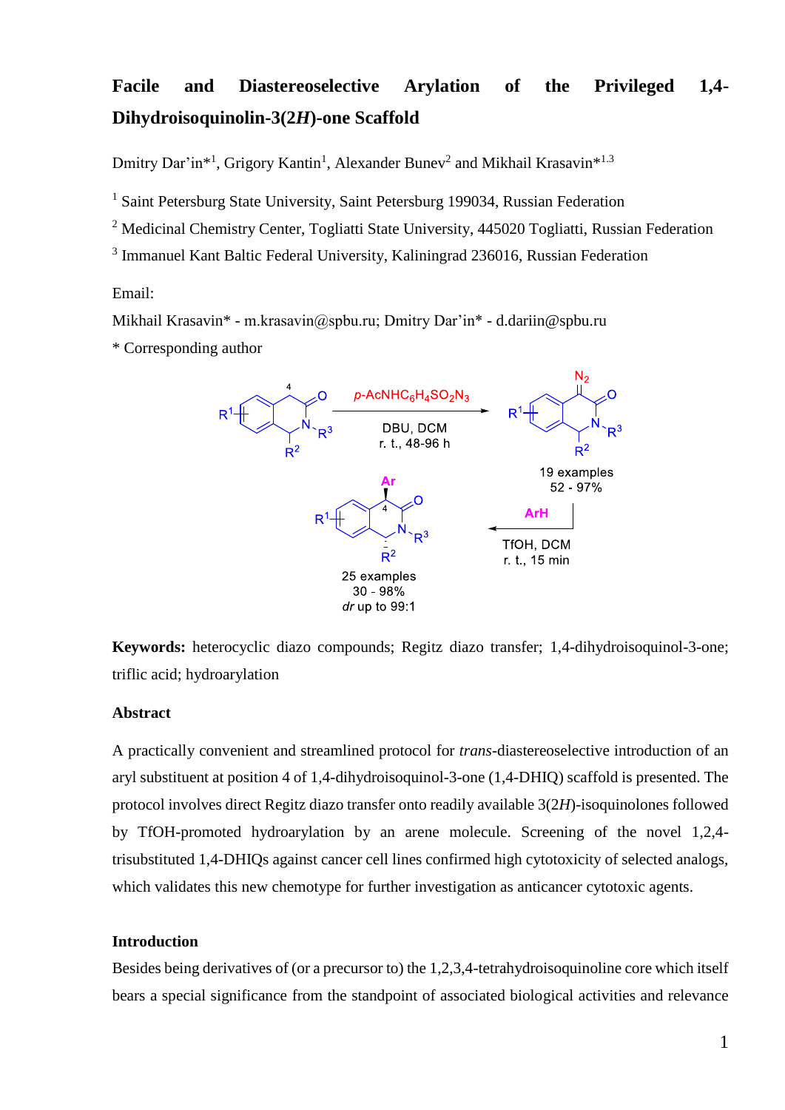# **Facile and Diastereoselective Arylation of the Privileged 1,4- Dihydroisoquinolin-3(2***H***)-one Scaffold**

Dmitry Dar'in<sup>\*1</sup>, Grigory Kantin<sup>1</sup>, Alexander Bunev<sup>2</sup> and Mikhail Krasavin<sup>\*1.3</sup>

<sup>1</sup> Saint Petersburg State University, Saint Petersburg 199034, Russian Federation

<sup>2</sup> Medicinal Chemistry Center, Togliatti State University, 445020 Togliatti, Russian Federation

<sup>3</sup> Immanuel Kant Baltic Federal University, Kaliningrad 236016, Russian Federation

Email:

Mikhail Krasavin\* - m.krasavin@spbu.ru; Dmitry Dar'in\* - d.dariin@spbu.ru

\* Corresponding author



**Keywords:** heterocyclic diazo compounds; Regitz diazo transfer; 1,4-dihydroisoquinol-3-one; triflic acid; hydroarylation

## **Abstract**

A practically convenient and streamlined protocol for *trans*-diastereoselective introduction of an aryl substituent at position 4 of 1,4-dihydroisoquinol-3-one (1,4-DHIQ) scaffold is presented. The protocol involves direct Regitz diazo transfer onto readily available 3(2*H*)-isoquinolones followed by TfOH-promoted hydroarylation by an arene molecule. Screening of the novel 1,2,4 trisubstituted 1,4-DHIQs against cancer cell lines confirmed high cytotoxicity of selected analogs, which validates this new chemotype for further investigation as anticancer cytotoxic agents.

#### **Introduction**

Besides being derivatives of (or a precursor to) the 1,2,3,4-tetrahydroisoquinoline core which itself bears a special significance from the standpoint of associated biological activities and relevance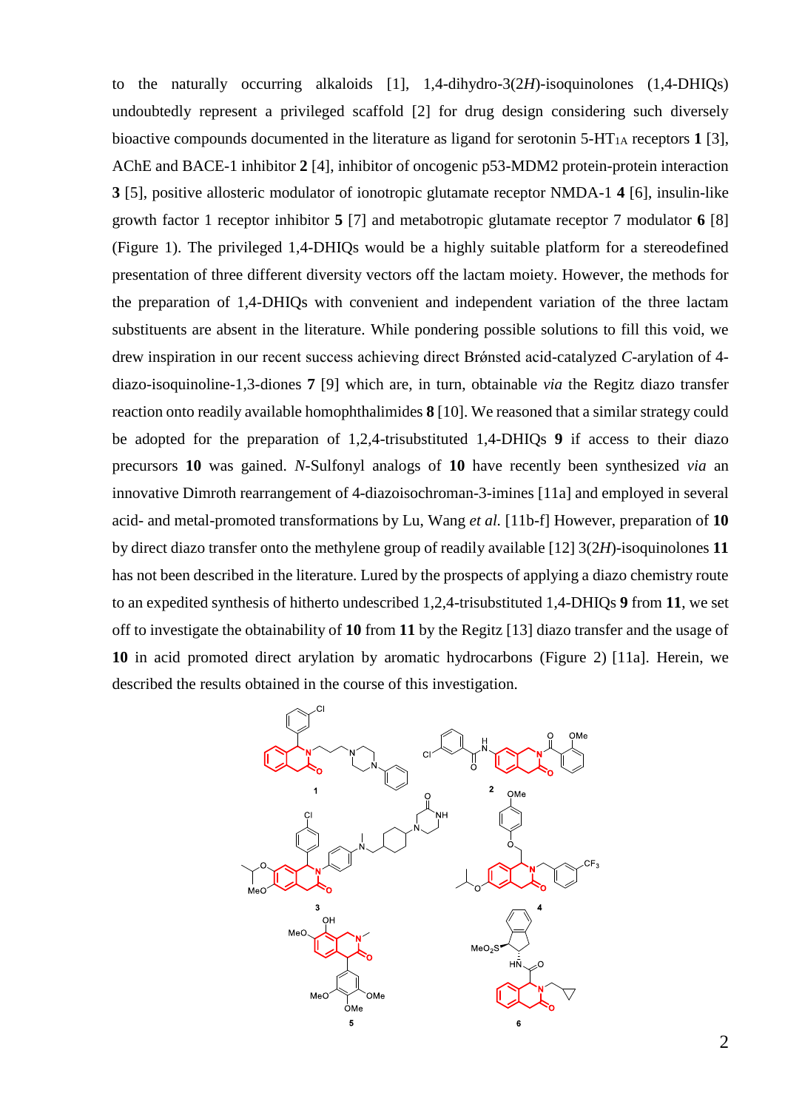to the naturally occurring alkaloids [1], 1,4-dihydro-3(2*H*)-isoquinolones (1,4-DHIQs) undoubtedly represent a privileged scaffold [2] for drug design considering such diversely bioactive compounds documented in the literature as ligand for serotonin  $5-HT<sub>1A</sub>$  receptors 1 [3], AChE and BACE-1 inhibitor **2** [4], inhibitor of oncogenic p53-MDM2 protein-protein interaction **3** [5], positive allosteric modulator of ionotropic glutamate receptor NMDA-1 **4** [6], insulin-like growth factor 1 receptor inhibitor **5** [7] and metabotropic glutamate receptor 7 modulator **6** [8] (Figure 1). The privileged 1,4-DHIQs would be a highly suitable platform for a stereodefined presentation of three different diversity vectors off the lactam moiety. However, the methods for the preparation of 1,4-DHIQs with convenient and independent variation of the three lactam substituents are absent in the literature. While pondering possible solutions to fill this void, we drew inspiration in our recent success achieving direct Brǿnsted acid-catalyzed *C*-arylation of 4 diazo-isoquinoline-1,3-diones **7** [9] which are, in turn, obtainable *via* the Regitz diazo transfer reaction onto readily available homophthalimides **8** [10]. We reasoned that a similar strategy could be adopted for the preparation of 1,2,4-trisubstituted 1,4-DHIQs **9** if access to their diazo precursors **10** was gained. *N*-Sulfonyl analogs of **10** have recently been synthesized *via* an innovative Dimroth rearrangement of 4-diazoisochroman-3-imines [11a] and employed in several acid- and metal-promoted transformations by Lu, Wang *et al.* [11b-f] However, preparation of **10** by direct diazo transfer onto the methylene group of readily available [12] 3(2*H*)-isoquinolones **11** has not been described in the literature. Lured by the prospects of applying a diazo chemistry route to an expedited synthesis of hitherto undescribed 1,2,4-trisubstituted 1,4-DHIQs **9** from **11**, we set off to investigate the obtainability of **10** from **11** by the Regitz [13] diazo transfer and the usage of **10** in acid promoted direct arylation by aromatic hydrocarbons (Figure 2) [11a]. Herein, we described the results obtained in the course of this investigation.

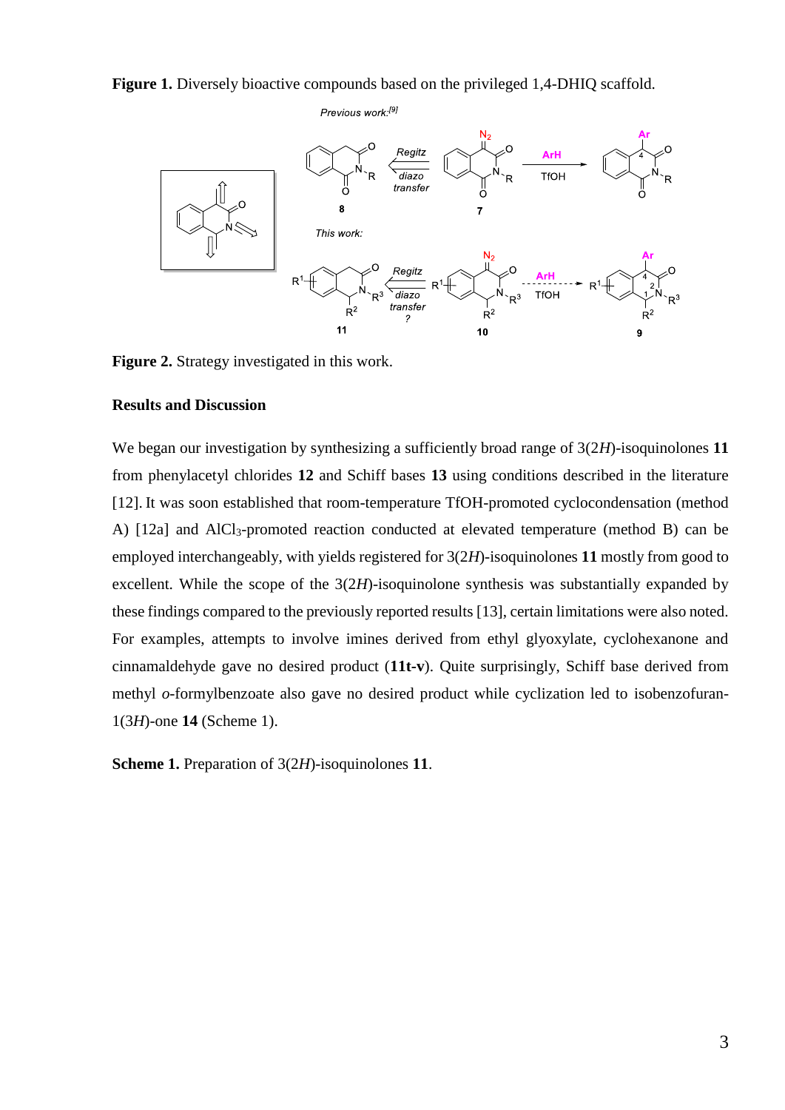**Figure 1.** Diversely bioactive compounds based on the privileged 1,4-DHIQ scaffold.



**Figure 2.** Strategy investigated in this work.

## **Results and Discussion**

We began our investigation by synthesizing a sufficiently broad range of  $3(2H)$ -isoquinolones 11 from phenylacetyl chlorides **12** and Schiff bases **13** using conditions described in the literature [12]. It was soon established that room-temperature TfOH-promoted cyclocondensation (method A) [12a] and AlCl<sub>3</sub>-promoted reaction conducted at elevated temperature (method B) can be employed interchangeably, with yields registered for 3(2*H*)-isoquinolones **11** mostly from good to excellent. While the scope of the 3(2*H*)-isoquinolone synthesis was substantially expanded by these findings compared to the previously reported results [13], certain limitations were also noted. For examples, attempts to involve imines derived from ethyl glyoxylate, cyclohexanone and cinnamaldehyde gave no desired product (**11t-v**). Quite surprisingly, Schiff base derived from methyl *o*-formylbenzoate also gave no desired product while cyclization led to isobenzofuran-1(3*H*)-one **14** (Scheme 1).

**Scheme 1.** Preparation of 3(2*H*)-isoquinolones **11**.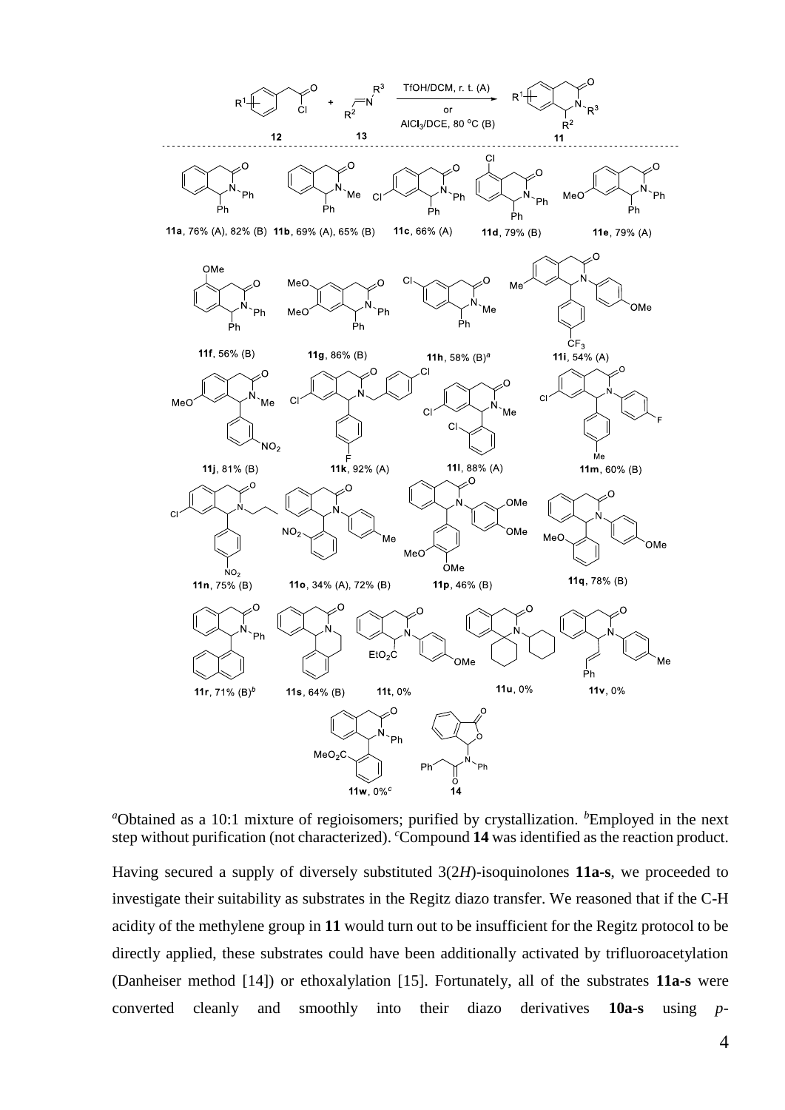

<sup>*a*</sup>Obtained as a 10:1 mixture of regioisomers; purified by crystallization. <sup>*b*</sup>Employed in the next step without purification (not characterized). *<sup>c</sup>*Compound **14** was identified as the reaction product.

Having secured a supply of diversely substituted 3(2*H*)-isoquinolones **11a-s**, we proceeded to investigate their suitability as substrates in the Regitz diazo transfer. We reasoned that if the C-H acidity of the methylene group in **11** would turn out to be insufficient for the Regitz protocol to be directly applied, these substrates could have been additionally activated by trifluoroacetylation (Danheiser method [14]) or ethoxalylation [15]. Fortunately, all of the substrates **11a-s** were converted cleanly and smoothly into their diazo derivatives **10a-s** using *p*-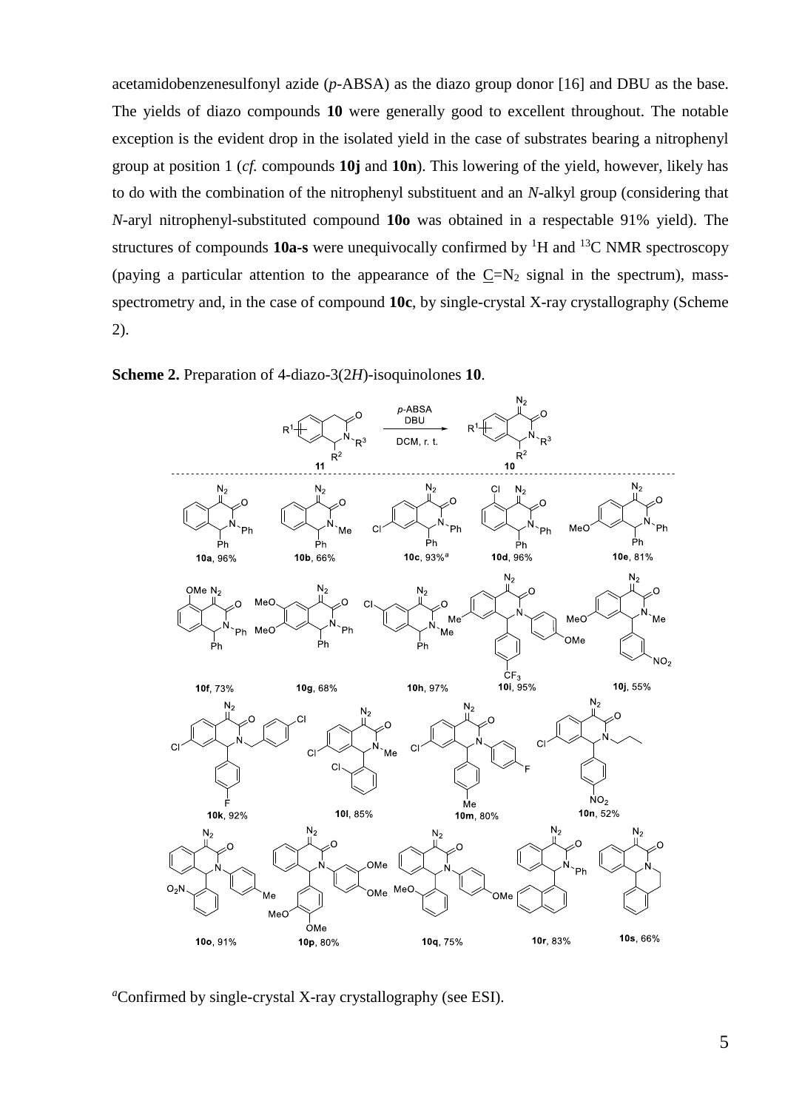acetamidobenzenesulfonyl azide (*p*-ABSA) as the diazo group donor [16] and DBU as the base. The yields of diazo compounds **10** were generally good to excellent throughout. The notable exception is the evident drop in the isolated yield in the case of substrates bearing a nitrophenyl group at position 1 (*cf.* compounds **10j** and **10n**). This lowering of the yield, however, likely has to do with the combination of the nitrophenyl substituent and an *N*-alkyl group (considering that *N*-aryl nitrophenyl-substituted compound **10o** was obtained in a respectable 91% yield). The structures of compounds **10a-s** were unequivocally confirmed by <sup>1</sup>H and <sup>13</sup>C NMR spectroscopy (paying a particular attention to the appearance of the  $C=N_2$  signal in the spectrum), massspectrometry and, in the case of compound **10c**, by single-crystal X-ray crystallography (Scheme 2).



**Scheme 2.** Preparation of 4-diazo-3(2*H*)-isoquinolones **10**.

*<sup>a</sup>*Confirmed by single-crystal X-ray crystallography (see ESI).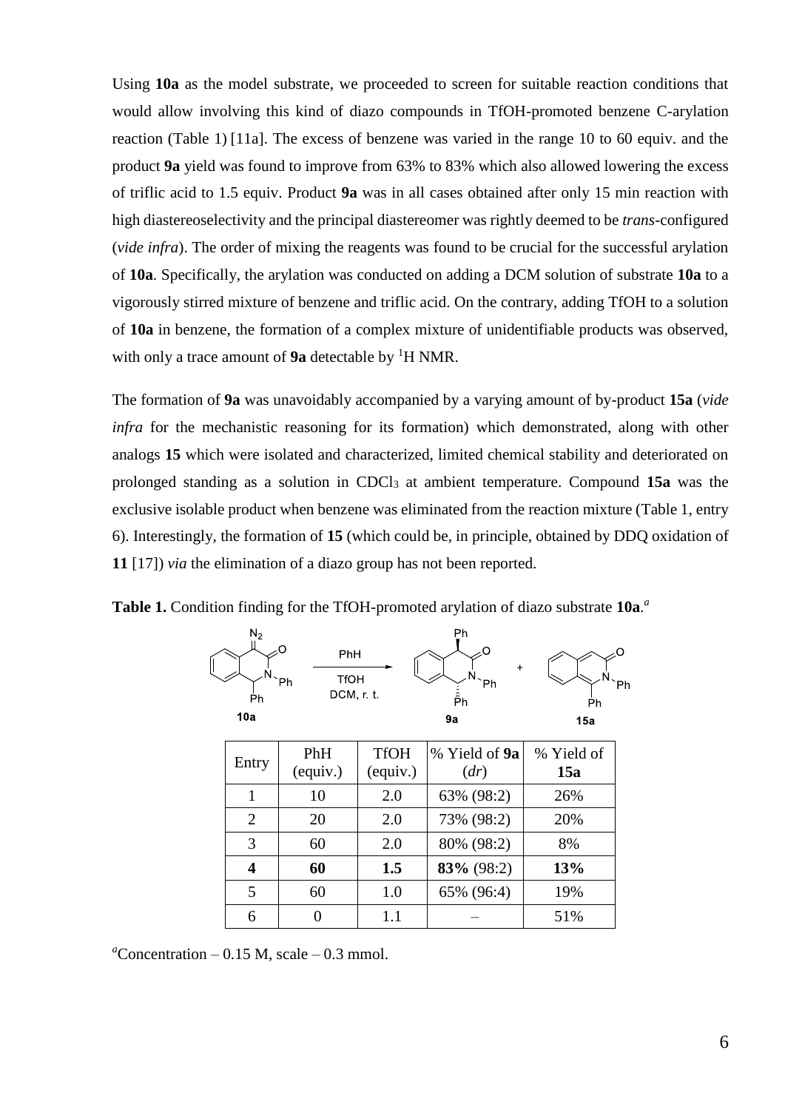Using **10a** as the model substrate, we proceeded to screen for suitable reaction conditions that would allow involving this kind of diazo compounds in TfOH-promoted benzene C-arylation reaction (Table 1) [11a]. The excess of benzene was varied in the range 10 to 60 equiv. and the product **9a** yield was found to improve from 63% to 83% which also allowed lowering the excess of triflic acid to 1.5 equiv. Product **9a** was in all cases obtained after only 15 min reaction with high diastereoselectivity and the principal diastereomer was rightly deemed to be *trans*-configured (*vide infra*). The order of mixing the reagents was found to be crucial for the successful arylation of **10a**. Specifically, the arylation was conducted on adding a DCM solution of substrate **10a** to a vigorously stirred mixture of benzene and triflic acid. On the contrary, adding TfOH to a solution of **10a** in benzene, the formation of a complex mixture of unidentifiable products was observed, with only a trace amount of **9a** detectable by <sup>1</sup>H NMR.

The formation of **9a** was unavoidably accompanied by a varying amount of by-product **15a** (*vide infra* for the mechanistic reasoning for its formation) which demonstrated, along with other analogs **15** which were isolated and characterized, limited chemical stability and deteriorated on prolonged standing as a solution in CDCl<sub>3</sub> at ambient temperature. Compound 15a was the exclusive isolable product when benzene was eliminated from the reaction mixture (Table 1, entry 6). Interestingly, the formation of **15** (which could be, in principle, obtained by DDQ oxidation of **11** [17]) *via* the elimination of a diazo group has not been reported.

**Table 1.** Condition finding for the TfOH-promoted arylation of diazo substrate **10a**. *a*



| Entry | PhH<br>(equiv.) | <b>TfOH</b><br>(equiv.) | % Yield of <b>9a</b><br>(dr) | % Yield of<br>15a |
|-------|-----------------|-------------------------|------------------------------|-------------------|
|       | 10              | 2.0                     | 63% (98:2)                   | 26%               |
| 2     | 20              | 2.0                     | 73% (98:2)                   | 20%               |
| 3     | 60              | 2.0                     | 80% (98:2)                   | 8%                |
| 4     | 60              | 1.5                     | 83% (98:2)                   | 13%               |
| 5     | 60              | 1.0                     | 65% (96:4)                   | 19%               |
| 6     |                 | 1.1                     |                              | 51%               |

 $a$ Concentration – 0.15 M, scale – 0.3 mmol.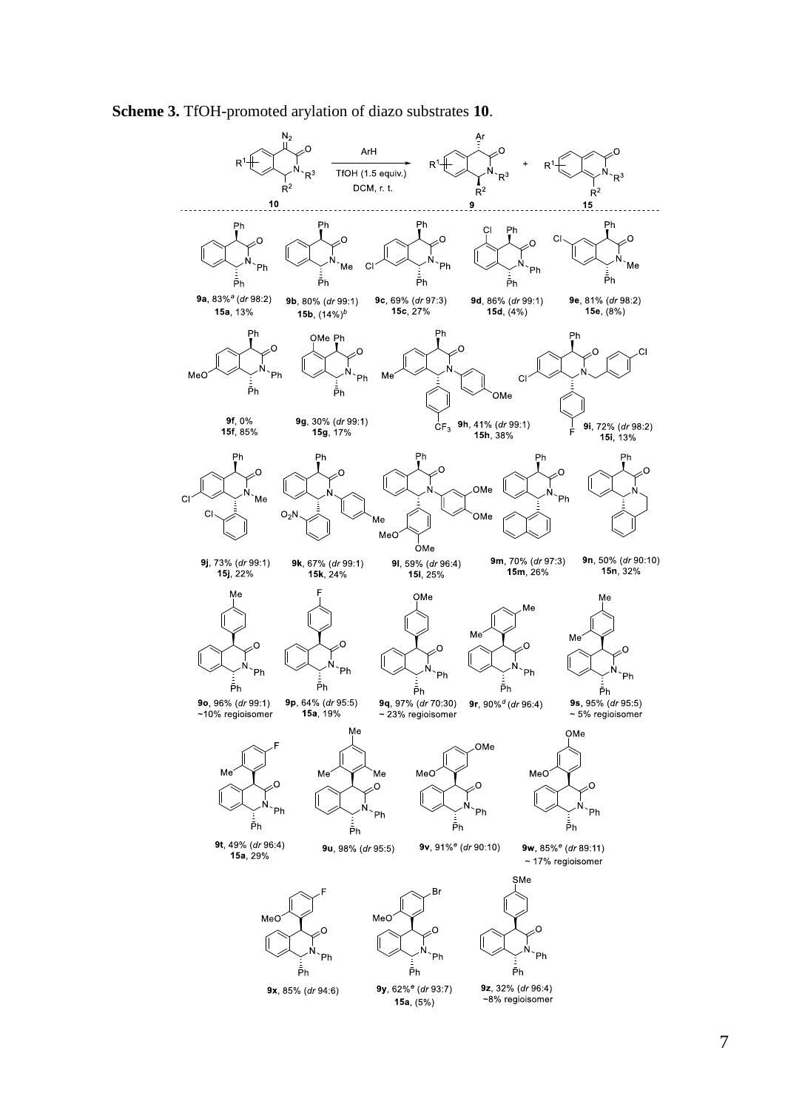**Scheme 3.** TfOH-promoted arylation of diazo substrates **10**.

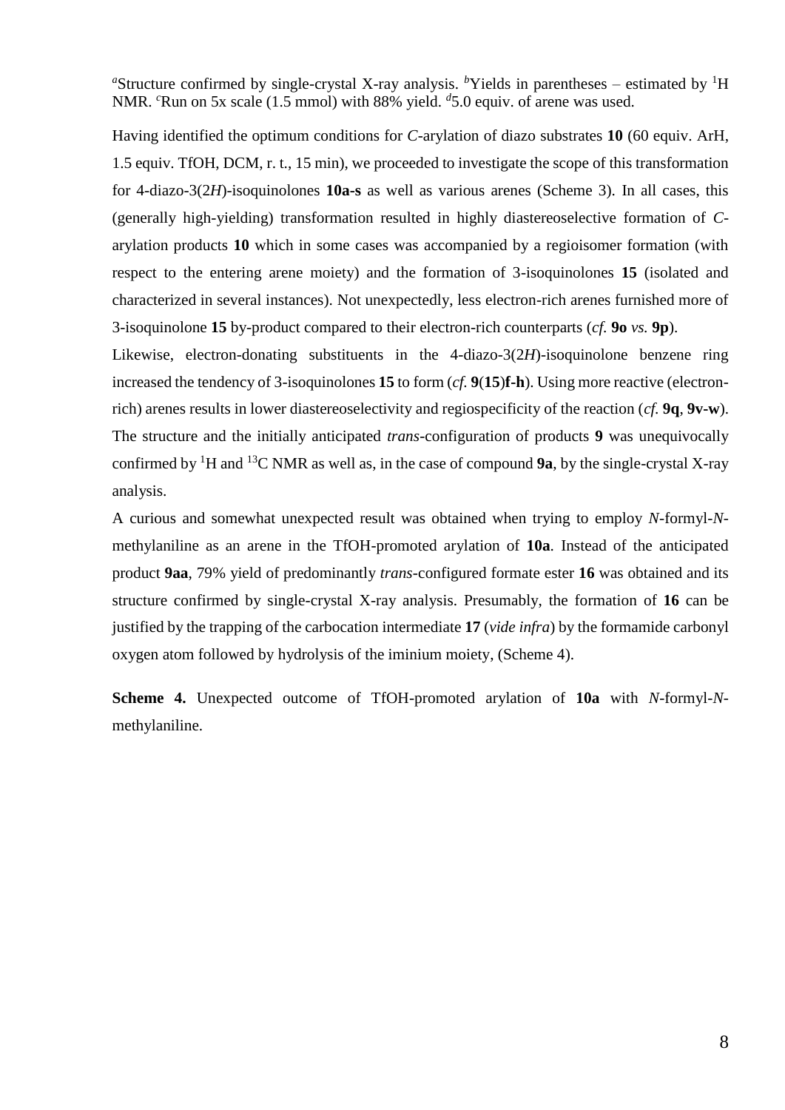<sup>a</sup>Structure confirmed by single-crystal X-ray analysis. <sup>*b*</sup>Yields in parentheses – estimated by <sup>1</sup>H NMR. *<sup>c</sup>*Run on 5x scale (1.5 mmol) with 88% yield. *<sup>d</sup>* 5.0 equiv. of arene was used.

Having identified the optimum conditions for *C*-arylation of diazo substrates **10** (60 equiv. ArH, 1.5 equiv. TfOH, DCM, r. t., 15 min), we proceeded to investigate the scope of this transformation for 4-diazo-3(2*H*)-isoquinolones **10a-s** as well as various arenes (Scheme 3). In all cases, this (generally high-yielding) transformation resulted in highly diastereoselective formation of *C*arylation products **10** which in some cases was accompanied by a regioisomer formation (with respect to the entering arene moiety) and the formation of 3-isoquinolones **15** (isolated and characterized in several instances). Not unexpectedly, less electron-rich arenes furnished more of 3-isoquinolone **15** by-product compared to their electron-rich counterparts (*cf.* **9o** *vs.* **9p**).

Likewise, electron-donating substituents in the 4-diazo-3(2*H*)-isoquinolone benzene ring increased the tendency of 3-isoquinolones **15** to form (*cf.* **9**(**15**)**f-h**). Using more reactive (electronrich) arenes results in lower diastereoselectivity and regiospecificity of the reaction (*cf.* **9q**, **9v-w**). The structure and the initially anticipated *trans*-configuration of products **9** was unequivocally confirmed by <sup>1</sup>H and <sup>13</sup>C NMR as well as, in the case of compound **9a**, by the single-crystal X-ray analysis.

A curious and somewhat unexpected result was obtained when trying to employ *N*-formyl-*N*methylaniline as an arene in the TfOH-promoted arylation of **10a**. Instead of the anticipated product **9aa**, 79% yield of predominantly *trans*-configured formate ester **16** was obtained and its structure confirmed by single-crystal X-ray analysis. Presumably, the formation of **16** can be justified by the trapping of the carbocation intermediate **17** (*vide infra*) by the formamide carbonyl oxygen atom followed by hydrolysis of the iminium moiety, (Scheme 4).

**Scheme 4.** Unexpected outcome of TfOH-promoted arylation of **10a** with *N*-formyl-*N*methylaniline.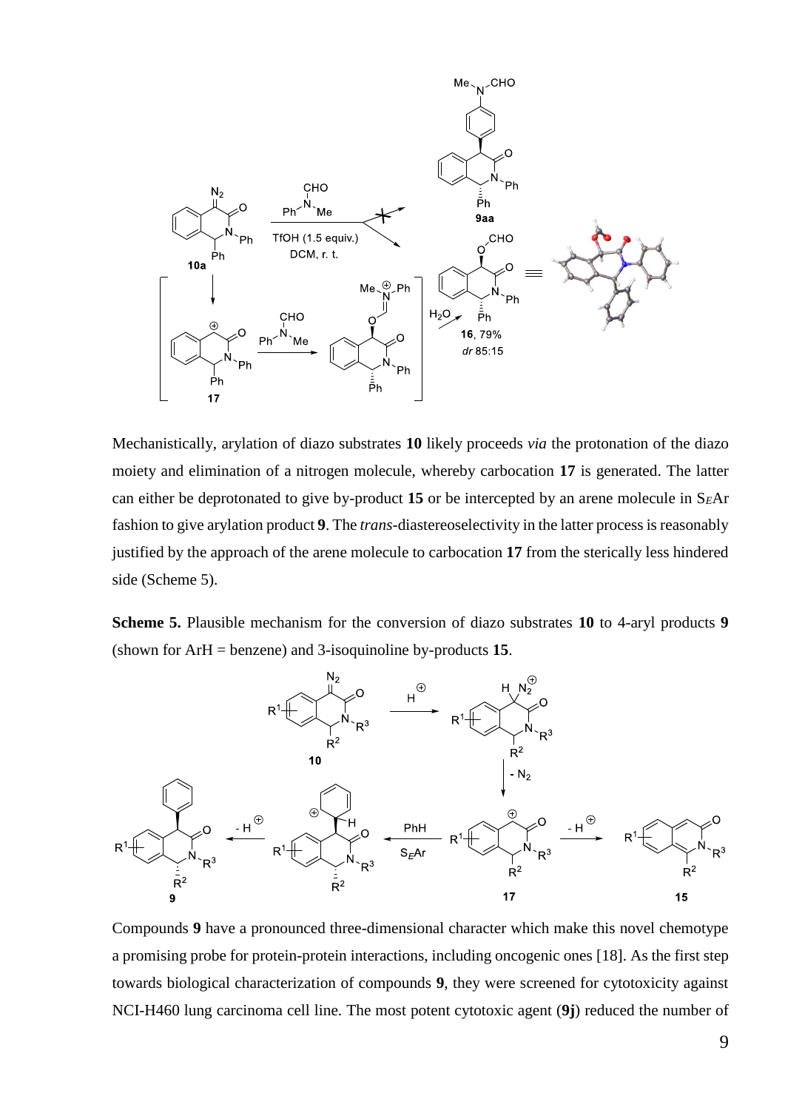

Mechanistically, arylation of diazo substrates **10** likely proceeds *via* the protonation of the diazo moiety and elimination of a nitrogen molecule, whereby carbocation **17** is generated. The latter can either be deprotonated to give by-product **15** or be intercepted by an arene molecule in S*E*Ar fashion to give arylation product **9**. The *trans*-diastereoselectivity in the latter process is reasonably justified by the approach of the arene molecule to carbocation **17** from the sterically less hindered side (Scheme 5).

**Scheme 5.** Plausible mechanism for the conversion of diazo substrates **10** to 4-aryl products **9** (shown for ArH = benzene) and 3-isoquinoline by-products **15**.



Compounds **9** have a pronounced three-dimensional character which make this novel chemotype a promising probe for protein-protein interactions, including oncogenic ones [18]. As the first step towards biological characterization of compounds **9**, they were screened for cytotoxicity against NCI-H460 lung carcinoma cell line. The most potent cytotoxic agent (**9j**) reduced the number of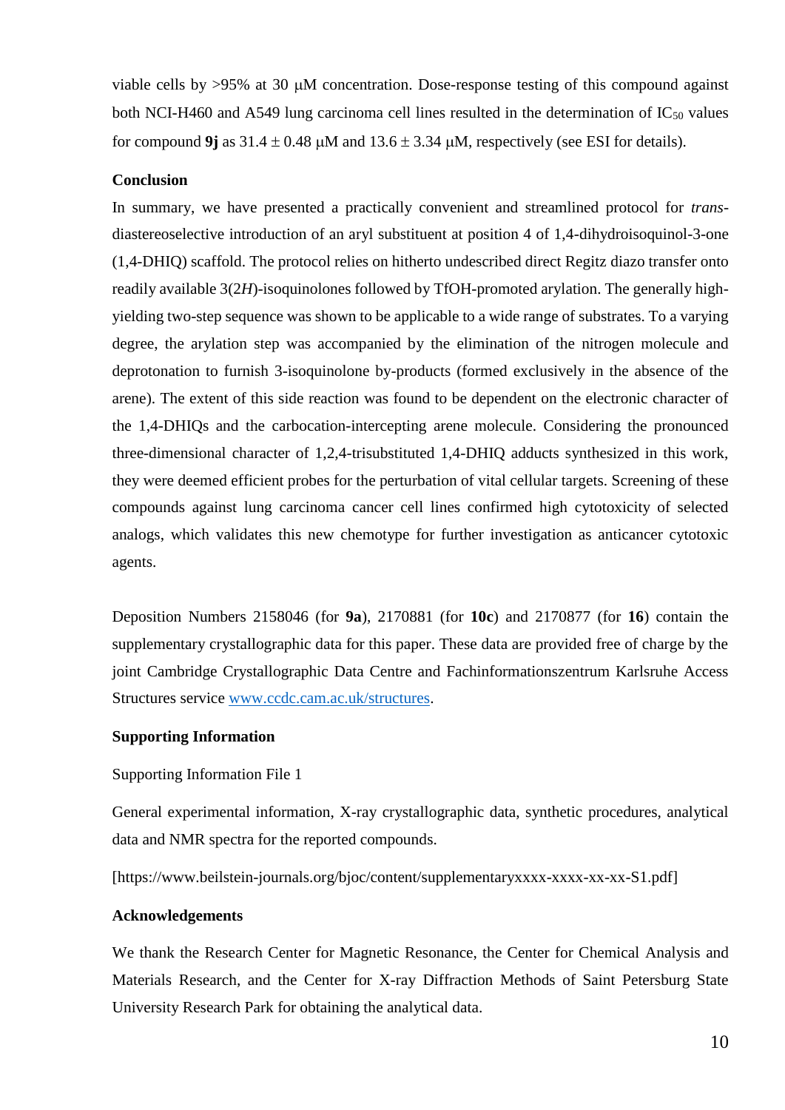viable cells by  $>95\%$  at 30  $\mu$ M concentration. Dose-response testing of this compound against both NCI-H460 and A549 lung carcinoma cell lines resulted in the determination of  $IC_{50}$  values for compound 9*i* as  $31.4 \pm 0.48$  uM and  $13.6 \pm 3.34$  uM, respectively (see ESI for details).

## **Conclusion**

In summary, we have presented a practically convenient and streamlined protocol for *trans*diastereoselective introduction of an aryl substituent at position 4 of 1,4-dihydroisoquinol-3-one (1,4-DHIQ) scaffold. The protocol relies on hitherto undescribed direct Regitz diazo transfer onto readily available 3(2*H*)-isoquinolones followed by TfOH-promoted arylation. The generally highyielding two-step sequence was shown to be applicable to a wide range of substrates. To a varying degree, the arylation step was accompanied by the elimination of the nitrogen molecule and deprotonation to furnish 3-isoquinolone by-products (formed exclusively in the absence of the arene). The extent of this side reaction was found to be dependent on the electronic character of the 1,4-DHIQs and the carbocation-intercepting arene molecule. Considering the pronounced three-dimensional character of 1,2,4-trisubstituted 1,4-DHIQ adducts synthesized in this work, they were deemed efficient probes for the perturbation of vital cellular targets. Screening of these compounds against lung carcinoma cancer cell lines confirmed high cytotoxicity of selected analogs, which validates this new chemotype for further investigation as anticancer cytotoxic agents.

Deposition Numbers 2158046 (for **9a**), 2170881 (for **10c**) and 2170877 (for **16**) contain the supplementary crystallographic data for this paper. These data are provided free of charge by the joint Cambridge Crystallographic Data Centre and Fachinformationszentrum Karlsruhe Access Structures service [www.ccdc.cam.ac.uk/structures.](http://www.ccdc.cam.ac.uk/structures)

#### **Supporting Information**

## Supporting Information File 1

General experimental information, X-ray crystallographic data, synthetic procedures, analytical data and NMR spectra for the reported compounds.

[https://www.beilstein-journals.org/bjoc/content/supplementaryxxxx-xxxx-xx-xx-S1.pdf]

#### **Acknowledgements**

We thank the Research Center for Magnetic Resonance, the Center for Chemical Analysis and Materials Research, and the Center for X-ray Diffraction Methods of Saint Petersburg State University Research Park for obtaining the analytical data.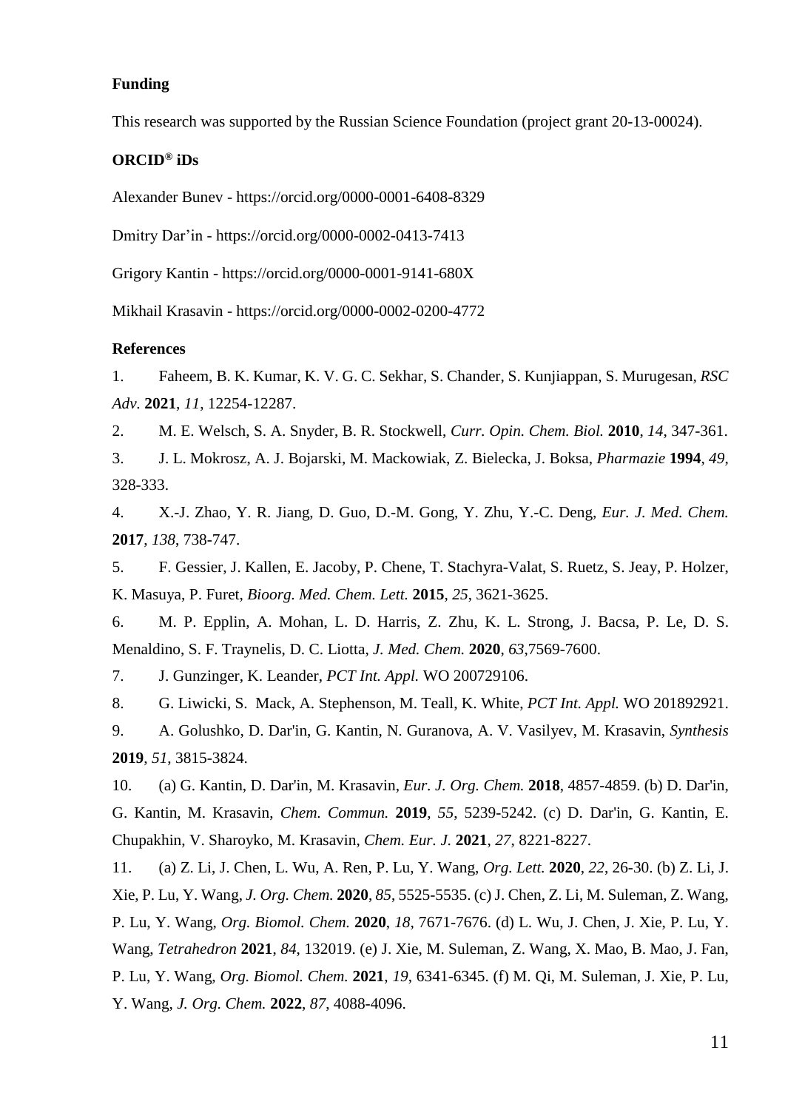# **Funding**

This research was supported by the Russian Science Foundation (project grant 20-13-00024).

# **ORCID® iDs**

Alexander Bunev - https://orcid.org/0000-0001-6408-8329

Dmitry Dar'in - https://orcid.org/0000-0002-0413-7413

Grigory Kantin - https://orcid.org/0000-0001-9141-680X

Mikhail Krasavin - https://orcid.org/0000-0002-0200-4772

#### **References**

1. Faheem, B. K. Kumar, K. V. G. C. Sekhar, S. Chander, S. Kunjiappan, S. Murugesan, *RSC Adv.* **2021**, *11*, 12254-12287.

2. M. E. Welsch, S. A. Snyder, B. R. Stockwell, *Curr. Opin. Chem. Biol.* **2010**, *14*, 347-361.

3. J. L. Mokrosz, A. J. Bojarski, M. Mackowiak, Z. Bielecka, J. Boksa, *Pharmazie* **1994**, *49*, 328-333.

4. X.-J. Zhao, Y. R. Jiang, D. Guo, D.-M. Gong, Y. Zhu, Y.-C. Deng, *Eur. J. Med. Chem.* **2017**, *138*, 738-747.

5. F. Gessier, J. Kallen, E. Jacoby, P. Chene, T. Stachyra-Valat, S. Ruetz, S. Jeay, P. Holzer, K. Masuya, P. Furet, *Bioorg. Med. Chem. Lett.* **2015**, *25*, 3621-3625.

6. M. P. Epplin, A. Mohan, L. D. Harris, Z. Zhu, K. L. Strong, J. Bacsa, P. Le, D. S. Menaldino, S. F. Traynelis, D. C. Liotta, *J. Med. Chem.* **2020**, *63*,7569-7600.

7. J. Gunzinger, K. Leander, *PCT Int. Appl.* WO 200729106.

8. G. Liwicki, S. Mack, A. Stephenson, M. Teall, K. White, *PCT Int. Appl.* WO 201892921.

9. A. Golushko, D. Dar'in, G. Kantin, N. Guranova, A. V. Vasilyev, M. Krasavin, *Synthesis* **2019**, *51*, 3815-3824.

10. (a) G. Kantin, D. Dar'in, M. Krasavin, *Eur. J. Org. Chem.* **2018**, 4857-4859. (b) D. Dar'in, G. Kantin, M. Krasavin, *Chem. Commun.* **2019**, *55*, 5239-5242. (c) D. Dar'in, G. Kantin, E. Chupakhin, V. Sharoyko, M. Krasavin, *Chem. Eur. J.* **2021**, *27*, 8221-8227.

11. (a) Z. Li, J. Chen, L. Wu, A. Ren, P. Lu, Y. Wang, *Org. Lett.* **2020**, *22*, 26-30. (b) Z. Li, J. Xie, P. Lu, Y. Wang, *J. Org. Chem.* **2020**, *85*, 5525-5535. (c) J. Chen, Z. Li, M. Suleman, Z. Wang, P. Lu, Y. Wang, *Org. Biomol. Chem.* **2020**, *18*, 7671-7676. (d) L. Wu, J. Chen, J. Xie, P. Lu, Y. Wang, *Tetrahedron* **2021**, *84*, 132019. (e) J. Xie, M. Suleman, Z. Wang, X. Mao, B. Mao, J. Fan, P. Lu, Y. Wang, *Org. Biomol. Chem.* **2021**, *19*, 6341-6345. (f) M. Qi, M. Suleman, J. Xie, P. Lu, Y. Wang, *J. Org. Chem.* **2022**, *87*, 4088-4096.